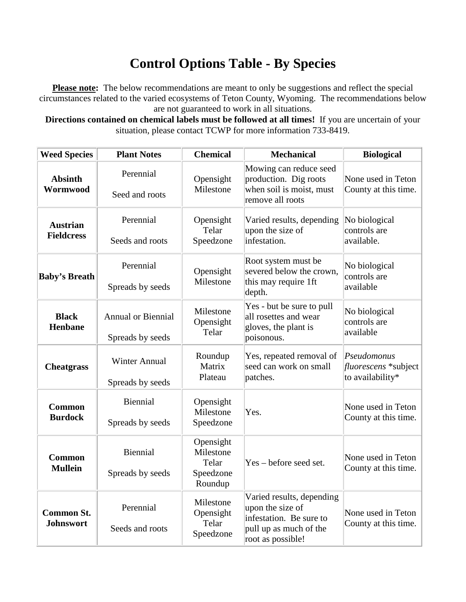## **Control Options Table - By Species**

**Please note:** The below recommendations are meant to only be suggestions and reflect the special circumstances related to the varied ecosystems of Teton County, Wyoming. The recommendations below are not guaranteed to work in all situations.

**Directions contained on chemical labels must be followed at all times!** If you are uncertain of your situation, please contact TCWP for more information 733-8419.

| <b>Weed Species</b>                   | <b>Plant Notes</b>                            | <b>Chemical</b>                                         | <b>Mechanical</b>                                                                                                       | <b>Biological</b>                                       |
|---------------------------------------|-----------------------------------------------|---------------------------------------------------------|-------------------------------------------------------------------------------------------------------------------------|---------------------------------------------------------|
| <b>Absinth</b><br>Wormwood            | Perennial<br>Seed and roots                   | Opensight<br>Milestone                                  | Mowing can reduce seed<br>production. Dig roots<br>when soil is moist, must<br>remove all roots                         | None used in Teton<br>County at this time.              |
| <b>Austrian</b><br><b>Fieldcress</b>  | Perennial<br>Seeds and roots                  | Opensight<br>Telar<br>Speedzone                         | Varied results, depending<br>upon the size of<br>infestation.                                                           | No biological<br>controls are<br>available.             |
| <b>Baby's Breath</b>                  | Perennial<br>Spreads by seeds                 | Opensight<br>Milestone                                  | Root system must be<br>severed below the crown,<br>this may require 1ft<br>depth.                                       | No biological<br>controls are<br>available              |
| <b>Black</b><br><b>Henbane</b>        | <b>Annual or Biennial</b><br>Spreads by seeds | Milestone<br>Opensight<br>Telar                         | Yes - but be sure to pull<br>all rosettes and wear<br>gloves, the plant is<br>poisonous.                                | No biological<br>controls are<br>available              |
| <b>Cheatgrass</b>                     | <b>Winter Annual</b><br>Spreads by seeds      | Roundup<br>Matrix<br>Plateau                            | Yes, repeated removal of<br>seed can work on small<br>patches.                                                          | Pseudomonus<br>fluorescens *subject<br>to availability* |
| <b>Common</b><br><b>Burdock</b>       | <b>Biennial</b><br>Spreads by seeds           | Opensight<br>Milestone<br>Speedzone                     | Yes.                                                                                                                    | None used in Teton<br>County at this time.              |
| <b>Common</b><br><b>Mullein</b>       | Biennial<br>Spreads by seeds                  | Opensight<br>Milestone<br>Telar<br>Speedzone<br>Roundup | Yes - before seed set.                                                                                                  | None used in Teton<br>County at this time.              |
| <b>Common St.</b><br><b>Johnswort</b> | Perennial<br>Seeds and roots                  | Milestone<br>Opensight<br>Telar<br>Speedzone            | Varied results, depending<br>upon the size of<br>infestation. Be sure to<br>pull up as much of the<br>root as possible! | None used in Teton<br>County at this time.              |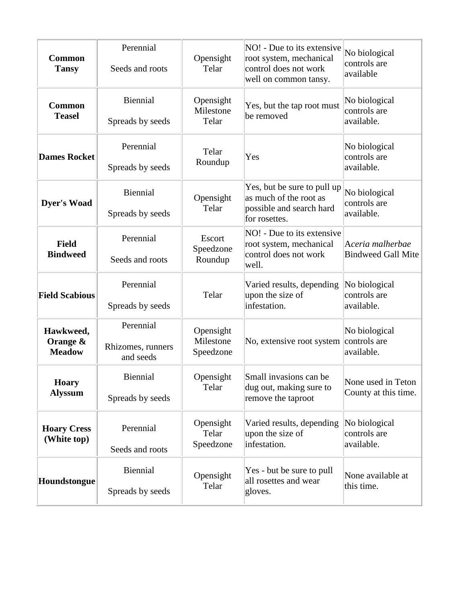| <b>Common</b><br><b>Tansy</b>          | Perennial<br>Seeds and roots                | Opensight<br>Telar                  | NO! - Due to its extensive<br>root system, mechanical<br>control does not work                     | No biological<br>controls are<br>available    |
|----------------------------------------|---------------------------------------------|-------------------------------------|----------------------------------------------------------------------------------------------------|-----------------------------------------------|
| <b>Common</b><br><b>Teasel</b>         | Biennial<br>Spreads by seeds                | Opensight<br>Milestone<br>Telar     | well on common tansy.<br>Yes, but the tap root must<br>be removed                                  | No biological<br>controls are<br>available.   |
| <b>Dames Rocket</b>                    | Perennial<br>Spreads by seeds               | Telar<br>Roundup                    | Yes                                                                                                | No biological<br>controls are<br>available.   |
| <b>Dyer's Woad</b>                     | Biennial<br>Spreads by seeds                | Opensight<br>Telar                  | Yes, but be sure to pull up<br>as much of the root as<br>possible and search hard<br>for rosettes. | No biological<br>controls are<br>available.   |
| <b>Field</b><br><b>Bindweed</b>        | Perennial<br>Seeds and roots                | Escort<br>Speedzone<br>Roundup      | NO! - Due to its extensive<br>root system, mechanical<br>control does not work<br>well.            | Aceria malherbae<br><b>Bindweed Gall Mite</b> |
| <b>Field Scabious</b>                  | Perennial<br>Spreads by seeds               | Telar                               | Varied results, depending<br>upon the size of<br>infestation.                                      | No biological<br>controls are<br>available.   |
| Hawkweed,<br>Orange &<br><b>Meadow</b> | Perennial<br>Rhizomes, runners<br>and seeds | Opensight<br>Milestone<br>Speedzone | No, extensive root system                                                                          | No biological<br>controls are<br>available.   |
| <b>Hoary</b><br><b>Alyssum</b>         | <b>Biennial</b><br>Spreads by seeds         | Opensight<br>Telar                  | Small invasions can be<br>dug out, making sure to<br>remove the taproot                            | None used in Teton<br>County at this time.    |
| <b>Hoary Cress</b><br>(White top)      | Perennial<br>Seeds and roots                | Opensight<br>Telar<br>Speedzone     | Varied results, depending<br>upon the size of<br>infestation.                                      | No biological<br>controls are<br>available.   |
| Houndstongue                           | Biennial<br>Spreads by seeds                | Opensight<br>Telar                  | Yes - but be sure to pull<br>all rosettes and wear<br>gloves.                                      | None available at<br>this time.               |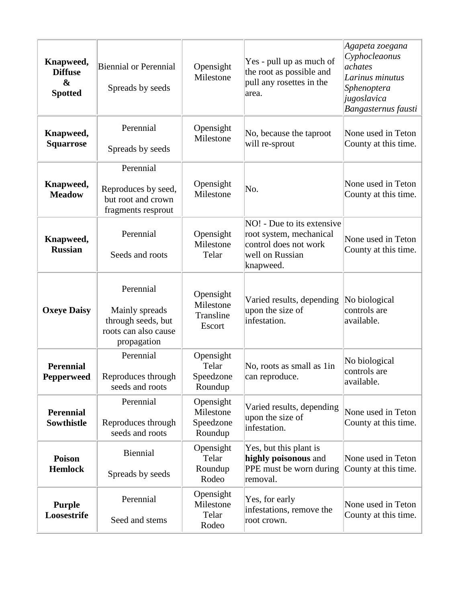| Knapweed,<br><b>Diffuse</b><br>$\boldsymbol{\&}$<br><b>Spotted</b> | <b>Biennial or Perennial</b><br>Spreads by seeds                                         | Opensight<br>Milestone                         | Yes - pull up as much of<br>the root as possible and<br>pull any rosettes in the<br>area.                      | Agapeta zoegana<br>Cyphocleaonus<br>achates<br>Larinus minutus<br>Sphenoptera<br>jugoslavica<br>Bangasternus fausti |
|--------------------------------------------------------------------|------------------------------------------------------------------------------------------|------------------------------------------------|----------------------------------------------------------------------------------------------------------------|---------------------------------------------------------------------------------------------------------------------|
| Knapweed,<br><b>Squarrose</b>                                      | Perennial<br>Spreads by seeds                                                            | Opensight<br>Milestone                         | No, because the taproot<br>will re-sprout                                                                      | None used in Teton<br>County at this time.                                                                          |
| Knapweed,<br><b>Meadow</b>                                         | Perennial<br>Reproduces by seed,<br>but root and crown<br>fragments resprout             | Opensight<br>Milestone                         | No.                                                                                                            | None used in Teton<br>County at this time.                                                                          |
| Knapweed,<br><b>Russian</b>                                        | Perennial<br>Seeds and roots                                                             | Opensight<br>Milestone<br>Telar                | NO! - Due to its extensive<br>root system, mechanical<br>control does not work<br>well on Russian<br>knapweed. | None used in Teton<br>County at this time.                                                                          |
| <b>Oxeye Daisy</b>                                                 | Perennial<br>Mainly spreads<br>through seeds, but<br>roots can also cause<br>propagation | Opensight<br>Milestone<br>Transline<br>Escort  | Varied results, depending<br>upon the size of<br>infestation.                                                  | No biological<br>controls are<br>available.                                                                         |
| <b>Perennial</b><br><b>Pepperweed</b>                              | Perennial<br>Reproduces through<br>seeds and roots                                       | Opensight<br>Telar<br>Speedzone<br>Roundup     | No, roots as small as 1in<br>can reproduce.                                                                    | No biological<br>controls are<br>available.                                                                         |
| <b>Perennial</b><br><b>Sowthistle</b>                              | Perennial<br>Reproduces through<br>seeds and roots                                       | Opensight<br>Milestone<br>Speedzone<br>Roundup | Varied results, depending<br>upon the size of<br>infestation.                                                  | None used in Teton<br>County at this time.                                                                          |
| <b>Poison</b><br><b>Hemlock</b>                                    | Biennial<br>Spreads by seeds                                                             | Opensight<br>Telar<br>Roundup<br>Rodeo         | Yes, but this plant is<br>highly poisonous and<br>PPE must be worn during<br>removal.                          | None used in Teton<br>County at this time.                                                                          |
| <b>Purple</b><br>Loosestrife                                       | Perennial<br>Seed and stems                                                              | Opensight<br>Milestone<br>Telar<br>Rodeo       | Yes, for early<br>infestations, remove the<br>root crown.                                                      | None used in Teton<br>County at this time.                                                                          |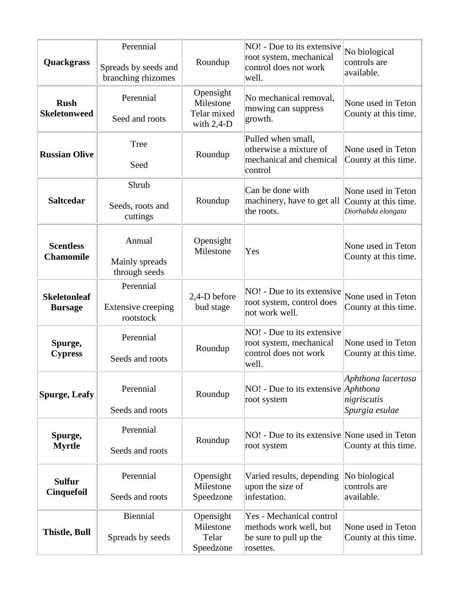| Quackgrass                            | Perennial<br>Spreads by seeds and<br>branching rhizomes | Roundup                                                | NO! - Due to its extensive<br>root system, mechanical<br>control does not work<br>well.   | No biological<br>controls are<br>available.                      |
|---------------------------------------|---------------------------------------------------------|--------------------------------------------------------|-------------------------------------------------------------------------------------------|------------------------------------------------------------------|
| <b>Rush</b><br><b>Skeletonweed</b>    | Perennial<br>Seed and roots                             | Opensight<br>Milestone<br>Telar mixed<br>with $2,4$ -D | No mechanical removal,<br>mowing can suppress<br>growth.                                  | None used in Teton<br>County at this time.                       |
| <b>Russian Olive</b>                  | Tree<br>Seed                                            | Roundup                                                | Pulled when small,<br>otherwise a mixture of<br>mechanical and chemical<br>control        | None used in Teton<br>County at this time.                       |
| <b>Saltcedar</b>                      | Shrub<br>Seeds, roots and<br>cuttings                   | Roundup                                                | Can be done with<br>machinery, have to get all<br>the roots.                              | None used in Teton<br>County at this time.<br>Diorhabda elongata |
| <b>Scentless</b><br><b>Chamomile</b>  | Annual<br>Mainly spreads<br>through seeds               | Opensight<br>Milestone                                 | Yes                                                                                       | None used in Teton<br>County at this time.                       |
| <b>Skeletonleaf</b><br><b>Bursage</b> | Perennial<br>Extensive creeping<br>rootstock            | 2,4-D before<br>bud stage                              | NO! - Due to its extensive<br>root system, control does<br>not work well.                 | None used in Teton<br>County at this time.                       |
| Spurge,<br><b>Cypress</b>             | Perennial<br>Seeds and roots                            | Roundup                                                | NO! - Due to its extensive<br>root system, mechanical<br>control does not work<br>well.   | None used in Teton<br>County at this time.                       |
| <b>Spurge, Leafy</b>                  | Perennial<br>Seeds and roots                            | Roundup                                                | NO! - Due to its extensive <i>Aphthona</i><br>root system                                 | Aphthona lacertosa<br>nigriscutis<br>Spurgia esulae              |
| Spurge,<br><b>Myrtle</b>              | Perennial<br>Seeds and roots                            | Roundup                                                | NO! - Due to its extensive None used in Teton<br>root system                              | County at this time.                                             |
| <b>Sulfur</b><br><b>Cinquefoil</b>    | Perennial<br>Seeds and roots                            | Opensight<br>Milestone<br>Speedzone                    | Varied results, depending<br>upon the size of<br>infestation.                             | No biological<br>controls are<br>available.                      |
| <b>Thistle, Bull</b>                  | <b>Biennial</b><br>Spreads by seeds                     | Opensight<br>Milestone<br>Telar<br>Speedzone           | Yes - Mechanical control<br>methods work well, but<br>be sure to pull up the<br>rosettes. | None used in Teton<br>County at this time.                       |